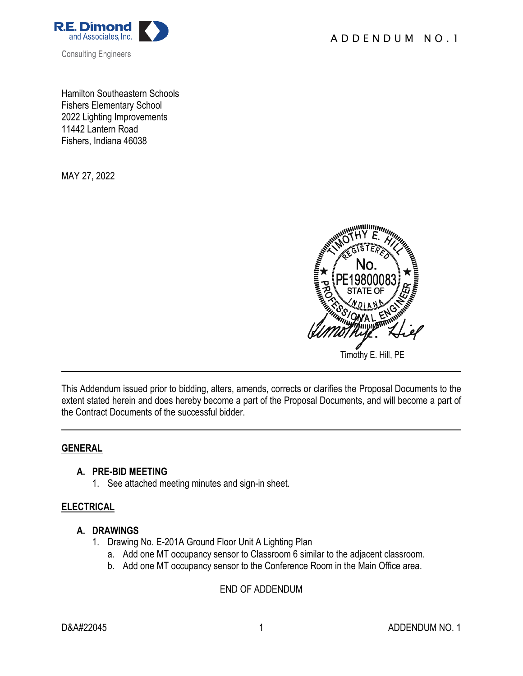



Hamilton Southeastern Schools Fishers Elementary School 2022 Lighting Improvements 11442 Lantern Road Fishers, Indiana 46038

MAY 27, 2022



This Addendum issued prior to bidding, alters, amends, corrects or clarifies the Proposal Documents to the extent stated herein and does hereby become a part of the Proposal Documents, and will become a part of the Contract Documents of the successful bidder.

#### **GENERAL**

### **A. PRE-BID MEETING**

1. See attached meeting minutes and sign-in sheet.

### **ELECTRICAL**

### **A. DRAWINGS**

- 1. Drawing No. E-201A Ground Floor Unit A Lighting Plan
	- a. Add one MT occupancy sensor to Classroom 6 similar to the adjacent classroom.
	- b. Add one MT occupancy sensor to the Conference Room in the Main Office area.

### END OF ADDENDUM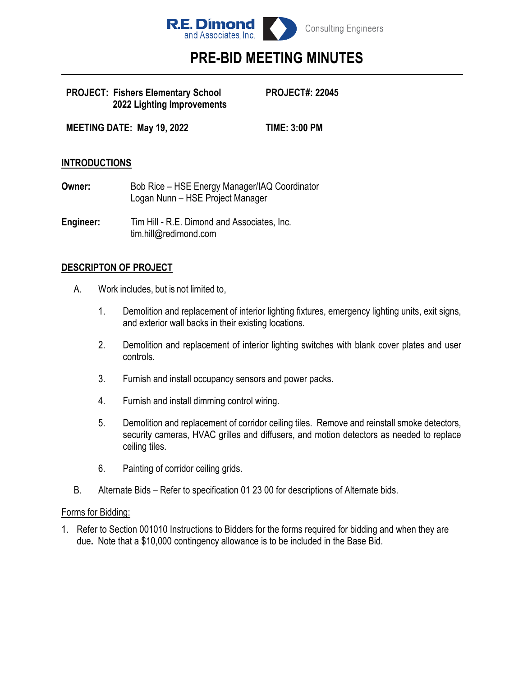

# **PRE-BID MEETING MINUTES**

#### **PROJECT: Fishers Elementary School PROJECT#: 22045 2022 Lighting Improvements**

**MEETING DATE: May 19, 2022 TIME: 3:00 PM**

## **INTRODUCTIONS**

- **Owner:** Bob Rice HSE Energy Manager/IAQ Coordinator Logan Nunn – HSE Project Manager
- **Engineer:** Tim Hill R.E. Dimond and Associates, Inc. tim.hill@redimond.com

### **DESCRIPTON OF PROJECT**

- A. Work includes, but is not limited to,
	- 1. Demolition and replacement of interior lighting fixtures, emergency lighting units, exit signs, and exterior wall backs in their existing locations.
	- 2. Demolition and replacement of interior lighting switches with blank cover plates and user controls.
	- 3. Furnish and install occupancy sensors and power packs.
	- 4. Furnish and install dimming control wiring.
	- 5. Demolition and replacement of corridor ceiling tiles. Remove and reinstall smoke detectors, security cameras, HVAC grilles and diffusers, and motion detectors as needed to replace ceiling tiles.
	- 6. Painting of corridor ceiling grids.
- B. Alternate Bids Refer to specification 01 23 00 for descriptions of Alternate bids.

#### Forms for Bidding:

1. Refer to Section 001010 Instructions to Bidders for the forms required for bidding and when they are due**.** Note that a \$10,000 contingency allowance is to be included in the Base Bid.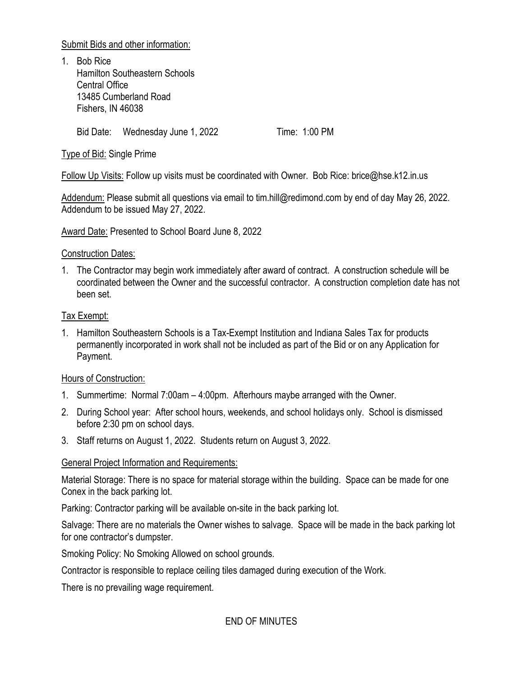Submit Bids and other information:

1. Bob Rice Hamilton Southeastern Schools Central Office 13485 Cumberland Road Fishers, IN 46038

Bid Date: Wednesday June 1, 2022 Time: 1:00 PM

Type of Bid: Single Prime

Follow Up Visits: Follow up visits must be coordinated with Owner. Bob Rice: brice@hse.k12.in.us

Addendum: Please submit all questions via email to tim.hill@redimond.com by end of day May 26, 2022. Addendum to be issued May 27, 2022.

Award Date: Presented to School Board June 8, 2022

### Construction Dates:

1. The Contractor may begin work immediately after award of contract. A construction schedule will be coordinated between the Owner and the successful contractor. A construction completion date has not been set.

# Tax Exempt:

1. Hamilton Southeastern Schools is a Tax-Exempt Institution and Indiana Sales Tax for products permanently incorporated in work shall not be included as part of the Bid or on any Application for Payment.

# Hours of Construction:

- 1. Summertime: Normal 7:00am 4:00pm. Afterhours maybe arranged with the Owner.
- 2. During School year: After school hours, weekends, and school holidays only. School is dismissed before 2:30 pm on school days.
- 3. Staff returns on August 1, 2022. Students return on August 3, 2022.

# General Project Information and Requirements:

Material Storage: There is no space for material storage within the building. Space can be made for one Conex in the back parking lot.

Parking: Contractor parking will be available on-site in the back parking lot.

Salvage: There are no materials the Owner wishes to salvage. Space will be made in the back parking lot for one contractor's dumpster.

Smoking Policy: No Smoking Allowed on school grounds.

Contractor is responsible to replace ceiling tiles damaged during execution of the Work.

There is no prevailing wage requirement.